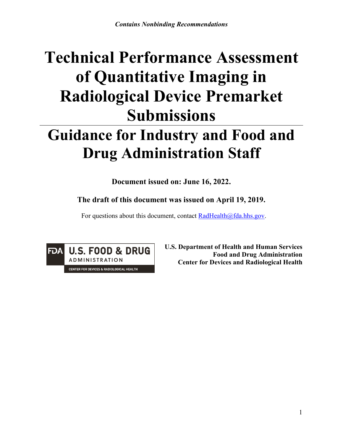# **Technical Performance Assessment of Quantitative Imaging in Radiological Device Premarket Submissions**

# **Guidance for Industry and Food and Drug Administration Staff**

**Document issued on: June 16, 2022.**

**The draft of this document was issued on April 19, 2019.**

For questions about this document, contact [RadHealth@fda.hhs.gov](mailto:RadHealth@fda.hhs.gov).



**U.S. Department of Health and Human Services Food and Drug Administration Center for Devices and Radiological Health**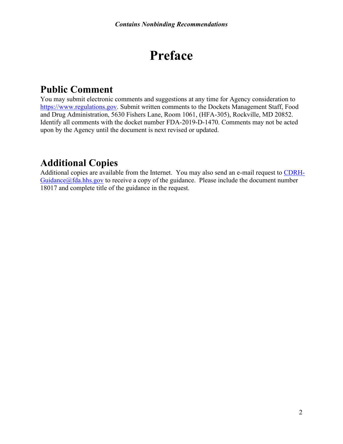# **Preface**

## **Public Comment**

You may submit electronic comments and suggestions at any time for Agency consideration to [https://www.regulations.gov.](https://www.regulations.gov/) Submit written comments to the Dockets Management Staff, Food and Drug Administration, 5630 Fishers Lane, Room 1061, (HFA-305), Rockville, MD 20852. Identify all comments with the docket number FDA-2019-D-1470. Comments may not be acted upon by the Agency until the document is next revised or updated.

## **Additional Copies**

Additional copies are available from the Internet. You may also send an e-mail request to [CDRH-](mailto:CDRH-Guidance@fda.hhs.gov) $Guidance@fda.hhs.gov$  to receive a copy of the guidance. Please include the document number 18017 and complete title of the guidance in the request.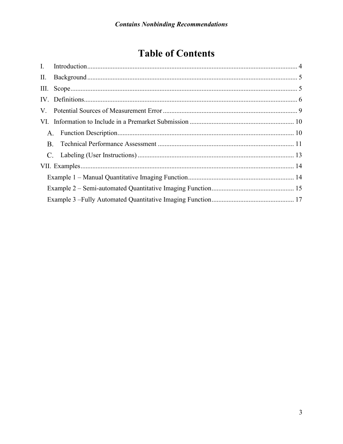## **Table of Contents**

| <b>B.</b> |  |
|-----------|--|
|           |  |
|           |  |
|           |  |
|           |  |
|           |  |
|           |  |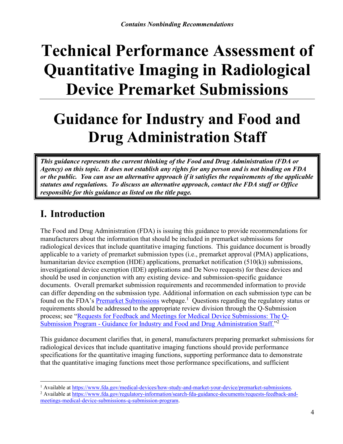# **Technical Performance Assessment of Quantitative Imaging in Radiological Device Premarket Submissions**

# **Guidance for Industry and Food and Drug Administration Staff**

*This guidance represents the current thinking of the Food and Drug Administration (FDA or Agency) on this topic. It does not establish any rights for any person and is not binding on FDA or the public. You can use an alternative approach if it satisfies the requirements of the applicable statutes and regulations. To discuss an alternative approach, contact the FDA staff or Office responsible for this guidance as listed on the title page.* 

## **I.** Introduction

The Food and Drug Administration (FDA) is issuing this guidance to provide recommendations for manufacturers about the information that should be included in premarket submissions for radiological devices that include quantitative imaging functions. This guidance document is broadly applicable to a variety of premarket submission types (i.e., premarket approval (PMA) applications, humanitarian device exemption (HDE) applications, premarket notification (510(k)) submissions, investigational device exemption (IDE) applications and De Novo requests) for these devices and should be used in conjunction with any existing device- and submission-specific guidance documents. Overall premarket submission requirements and recommended information to provide can differ depending on the submission type. Additional information on each submission type can be found on the FDA's [Premarket Submissions](https://www.fda.gov/medical-devices/how-study-and-market-your-device/premarket-submissions) webpage.<sup>1</sup> Questions regarding the regulatory status or requirements should be addressed to the appropriate review division through the Q-Submission process; see "[Requests for Feedback and Meetings for Medical Device Submissions: The Q-](https://www.fda.gov/regulatory-information/search-fda-guidance-documents/requests-feedback-and-meetings-medical-device-submissions-q-submission-program)Submission Program - [Guidance for Industry and Food and Drug Administration Staff."](https://www.fda.gov/regulatory-information/search-fda-guidance-documents/requests-feedback-and-meetings-medical-device-submissions-q-submission-program)<sup>2</sup>

This guidance document clarifies that, in general, manufacturers preparing premarket submissions for radiological devices that include quantitative imaging functions should provide performance specifications for the quantitative imaging functions, supporting performance data to demonstrate that the quantitative imaging functions meet those performance specifications, and sufficient

<sup>1</sup> Available at <https://www.fda.gov/medical-devices/how-study-and-market-your-device/premarket-submissions>.

<sup>&</sup>lt;sup>2</sup> Available at [https://www.fda.gov/regulatory-information/search-fda-guidance-documents/requests-feedback-and](https://www.fda.gov/regulatory-information/search-fda-guidance-documents/requests-feedback-and-meetings-medical-device-submissions-q-submission-program)[meetings-medical-device-submissions-q-submission-program](https://www.fda.gov/regulatory-information/search-fda-guidance-documents/requests-feedback-and-meetings-medical-device-submissions-q-submission-program).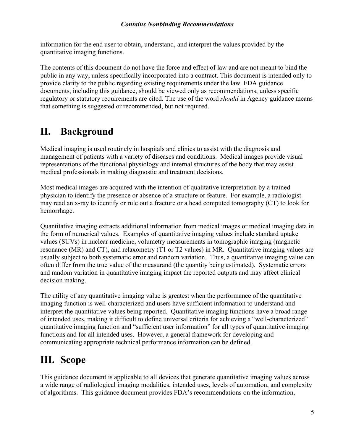information for the end user to obtain, understand, and interpret the values provided by the quantitative imaging functions.

The contents of this document do not have the force and effect of law and are not meant to bind the public in any way, unless specifically incorporated into a contract. This document is intended only to provide clarity to the public regarding existing requirements under the law. FDA guidance documents, including this guidance, should be viewed only as recommendations, unless specific regulatory or statutory requirements are cited. The use of the word *should* in Agency guidance means that something is suggested or recommended, but not required.

## **II.** Background

Medical imaging is used routinely in hospitals and clinics to assist with the diagnosis and management of patients with a variety of diseases and conditions. Medical images provide visual representations of the functional physiology and internal structures of the body that may assist medical professionals in making diagnostic and treatment decisions.

Most medical images are acquired with the intention of qualitative interpretation by a trained physician to identify the presence or absence of a structure or feature. For example, a radiologist may read an x-ray to identify or rule out a fracture or a head computed tomography (CT) to look for hemorrhage.

Quantitative imaging extracts additional information from medical images or medical imaging data in the form of numerical values. Examples of quantitative imaging values include standard uptake values (SUVs) in nuclear medicine, volumetry measurements in tomographic imaging (magnetic resonance (MR) and CT), and relaxometry (T1 or T2 values) in MR. Quantitative imaging values are usually subject to both systematic error and random variation. Thus, a quantitative imaging value can often differ from the true value of the measurand (the quantity being estimated). Systematic errors and random variation in quantitative imaging impact the reported outputs and may affect clinical decision making.

The utility of any quantitative imaging value is greatest when the performance of the quantitative imaging function is well-characterized and users have sufficient information to understand and interpret the quantitative values being reported. Quantitative imaging functions have a broad range of intended uses, making it difficult to define universal criteria for achieving a "well-characterized" quantitative imaging function and "sufficient user information" for all types of quantitative imaging functions and for all intended uses. However, a general framework for developing and communicating appropriate technical performance information can be defined.

## III. Scope

This guidance document is applicable to all devices that generate quantitative imaging values across a wide range of radiological imaging modalities, intended uses, levels of automation, and complexity of algorithms. This guidance document provides FDA's recommendations on the information,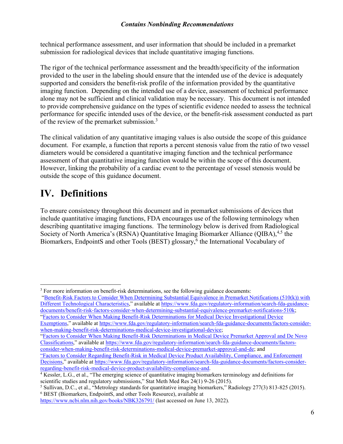technical performance assessment, and user information that should be included in a premarket submission for radiological devices that include quantitative imaging functions.

The rigor of the technical performance assessment and the breadth/specificity of the information provided to the user in the labeling should ensure that the intended use of the device is adequately supported and considers the benefit-risk profile of the information provided by the quantitative imaging function. Depending on the intended use of a device, assessment of technical performance alone may not be sufficient and clinical validation may be necessary. This document is not intended to provide comprehensive guidance on the types of scientific evidence needed to assess the technical performance for specific intended uses of the device, or the benefit-risk assessment conducted as part of the review of the premarket submission.<sup>3</sup>

The clinical validation of any quantitative imaging values is also outside the scope of this guidance document. For example, a function that reports a percent stenosis value from the ratio of two vessel diameters would be considered a quantitative imaging function and the technical performance assessment of that quantitative imaging function would be within the scope of this document. However, linking the probability of a cardiac event to the percentage of vessel stenosis would be outside the scope of this guidance document.

## **IV.** Definitions

To ensure consistency throughout this document and in premarket submissions of devices that include quantitative imaging functions, FDA encourages use of the following terminology when describing quantitative imaging functions. The terminology below is derived from Radiological Society of North America's (RSNA) Quantitative Imaging Biomarker Alliance (QIBA),<sup>4,5</sup> the Biomarkers, EndpointS and other Tools (BEST) glossary, <sup>6</sup> the International Vocabulary of

"[Benefit-Risk Factors to Consider When Determining Substantial Equivalence in Premarket Notifications \(510\(k\)\) with](https://www.fda.gov/regulatory-information/search-fda-guidance-documents/benefit-risk-factors-consider-when-determining-substantial-equivalence-premarket-notifications-510k)  [Different Technological Characteristics](https://www.fda.gov/regulatory-information/search-fda-guidance-documents/benefit-risk-factors-consider-when-determining-substantial-equivalence-premarket-notifications-510k)," available at [https://www.fda.gov/regulatory-information/search-fda-guidance](https://www.fda.gov/regulatory-information/search-fda-guidance-documents/benefit-risk-factors-consider-when-determining-substantial-equivalence-premarket-notifications-510k)[documents/benefit-risk-factors-consider-when-determining-substantial-equivalence-premarket-notifications-510k](https://www.fda.gov/regulatory-information/search-fda-guidance-documents/benefit-risk-factors-consider-when-determining-substantial-equivalence-premarket-notifications-510k); ["Factors to Consider When Making Benefit-Risk Determinations for Medical Device Investigational Device](https://www.fda.gov/regulatory-information/search-fda-guidance-documents/factors-consider-when-making-benefit-risk-determinations-medical-device-investigational-device)  [Exemptions,](https://www.fda.gov/regulatory-information/search-fda-guidance-documents/factors-consider-when-making-benefit-risk-determinations-medical-device-investigational-device)" available at [https://www.fda.gov/regulatory-information/search-fda-guidance-documents/factors-consider-](https://www.fda.gov/regulatory-information/search-fda-guidance-documents/factors-consider-when-making-benefit-risk-determinations-medical-device-investigational-device)

[when-making-benefit-risk-determinations-medical-device-investigational-device](https://www.fda.gov/regulatory-information/search-fda-guidance-documents/factors-consider-when-making-benefit-risk-determinations-medical-device-investigational-device);

["Factors to Consider When Making Benefit-Risk Determinations in Medical Device Premarket Approval and De Novo](https://www.fda.gov/regulatory-information/search-fda-guidance-documents/factors-consider-when-making-benefit-risk-determinations-medical-device-premarket-approval-and-de)  [Classifications,](https://www.fda.gov/regulatory-information/search-fda-guidance-documents/factors-consider-when-making-benefit-risk-determinations-medical-device-premarket-approval-and-de)" available at [https://www.fda.gov/regulatory-information/search-fda-guidance-documents/factors](https://www.fda.gov/regulatory-information/search-fda-guidance-documents/factors-consider-when-making-benefit-risk-determinations-medical-device-premarket-approval-and-de)[consider-when-making-benefit-risk-determinations-medical-device-premarket-approval-and-de](https://www.fda.gov/regulatory-information/search-fda-guidance-documents/factors-consider-when-making-benefit-risk-determinations-medical-device-premarket-approval-and-de); and

["Factors to Consider Regarding Benefit-Risk in Medical Device Product Availability, Compliance, and Enforcement](https://www.fda.gov/regulatory-information/search-fda-guidance-documents/factors-consider-regarding-benefit-risk-medical-device-product-availability-compliance-and)  [Decisions](https://www.fda.gov/regulatory-information/search-fda-guidance-documents/factors-consider-regarding-benefit-risk-medical-device-product-availability-compliance-and)," available at https://www.fda.gov/regulatory-information/search-fda-guidance-documents/factors-consider-<br>regarding-benefit-risk-medical-device-product-availability-compliance-and.

<sup>3</sup> For more information on benefit-risk determinations, see the following guidance documents:

<sup>&</sup>lt;sup>4</sup> Kessler, L.G., et al., "The emerging science of quantitative imaging biomarkers terminology and definitions for scientific studies and regulatory submissions," Stat Meth Med Res 24(1) 9-26 (2015).

<sup>5</sup> Sullivan, D.C., et al., "Metrology standards for quantitative imaging biomarkers," Radiology 277(3) 813-825 (2015). <sup>6</sup> BEST (Biomarkers, EndpointS, and other Tools Resource), available at

<https://www.ncbi.nlm.nih.gov/books/NBK326791/> (last accessed on June 13, 2022).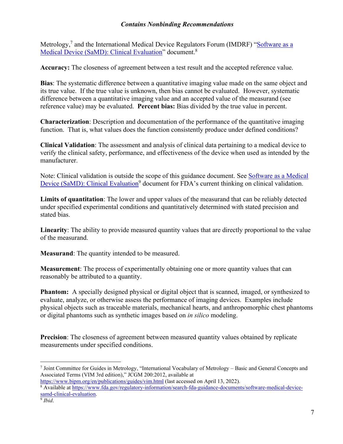Metrology,<sup>7</sup> and the International Medical Device Regulators Forum (IMDRF) "Software as a Medical Device [\(SaMD\): Clinical Evaluation"](https://www.fda.gov/regulatory-information/search-fda-guidance-documents/software-medical-device-samd-clinical-evaluation) document.<sup>8</sup>

**Accuracy:** The closeness of agreement between a test result and the accepted reference value.

**Bias**: The systematic difference between a quantitative imaging value made on the same object and its true value. If the true value is unknown, then bias cannot be evaluated. However, systematic difference between a quantitative imaging value and an accepted value of the measurand (see reference value) may be evaluated. **Percent bias:** Bias divided by the true value in percent.

**Characterization**: Description and documentation of the performance of the quantitative imaging function. That is, what values does the function consistently produce under defined conditions?

**Clinical Validation**: The assessment and analysis of clinical data pertaining to a medical device to verify the clinical safety, performance, and effectiveness of the device when used as intended by the manufacturer.

Note: Clinical validation is outside the scope of this guidance document. See [Software as a Medical](https://www.fda.gov/regulatory-information/search-fda-guidance-documents/software-medical-device-samd-clinical-evaluation)  [Device \(SaMD\): Clinical Evaluation](https://www.fda.gov/regulatory-information/search-fda-guidance-documents/software-medical-device-samd-clinical-evaluation)<sup>9</sup> document for FDA's current thinking on clinical validation.

**Limits of quantitation**: The lower and upper values of the measurand that can be reliably detected under specified experimental conditions and quantitatively determined with stated precision and stated bias.

**Linearity**: The ability to provide measured quantity values that are directly proportional to the value of the measurand.

**Measurand**: The quantity intended to be measured.

**Measurement**: The process of experimentally obtaining one or more quantity values that can reasonably be attributed to a quantity.

**Phantom:** A specially designed physical or digital object that is scanned, imaged, or synthesized to evaluate, analyze, or otherwise assess the performance of imaging devices. Examples include physical objects such as traceable materials, mechanical hearts, and anthropomorphic chest phantoms or digital phantoms such as synthetic images based on *in silico* modeling.

**Precision**: The closeness of agreement between measured quantity values obtained by replicate measurements under specified conditions.

<sup>7</sup> Joint Committee for Guides in Metrology, "International Vocabulary of Metrology – Basic and General Concepts and Associated Terms (VIM 3rd edition)," JCGM 200:2012, available at

<https://www.bipm.org/en/publications/guides/vim.html> (last accessed on April 13, 2022).

<sup>8</sup> Available at [https://www.fda.gov/regulatory-information/search-fda-guidance-documents/software-medical-device](https://www.fda.gov/regulatory-information/search-fda-guidance-documents/software-medical-device-samd-clinical-evaluation)[samd-clinical-evaluation](https://www.fda.gov/regulatory-information/search-fda-guidance-documents/software-medical-device-samd-clinical-evaluation). 9 *Ibid*.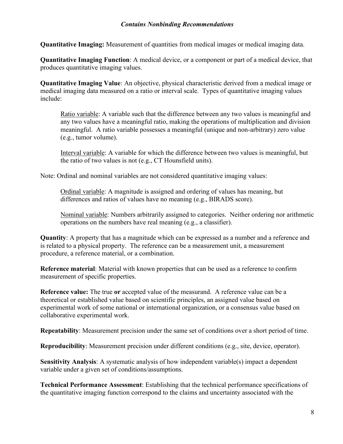**Quantitative Imaging:** Measurement of quantities from medical images or medical imaging data.

**Quantitative Imaging Function**: A medical device, or a component or part of a medical device, that produces quantitative imaging values.

**Quantitative Imaging Value**: An objective, physical characteristic derived from a medical image or medical imaging data measured on a ratio or interval scale. Types of quantitative imaging values include:

Ratio variable: A variable such that the difference between any two values is meaningful and any two values have a meaningful ratio, making the operations of multiplication and division meaningful. A ratio variable possesses a meaningful (unique and non-arbitrary) zero value (e.g., tumor volume).

Interval variable: A variable for which the difference between two values is meaningful, but the ratio of two values is not (e.g., CT Hounsfield units).

Note: Ordinal and nominal variables are not considered quantitative imaging values:

Ordinal variable: A magnitude is assigned and ordering of values has meaning, but differences and ratios of values have no meaning (e.g., BIRADS score).

Nominal variable: Numbers arbitrarily assigned to categories. Neither ordering nor arithmetic operations on the numbers have real meaning (e.g., a classifier).

**Quantity**: A property that has a magnitude which can be expressed as a number and a reference and is related to a physical property. The reference can be a measurement unit, a measurement procedure, a reference material, or a combination.

**Reference material**: Material with known properties that can be used as a reference to confirm measurement of specific properties.

**Reference value:** The true **or** accepted value of the measurand. A reference value can be a theoretical or established value based on scientific principles, an assigned value based on experimental work of some national or international organization, or a consensus value based on collaborative experimental work.

**Repeatability**: Measurement precision under the same set of conditions over a short period of time.

**Reproducibility**: Measurement precision under different conditions (e.g., site, device, operator).

**Sensitivity Analysis**: A systematic analysis of how independent variable(s) impact a dependent variable under a given set of conditions/assumptions.

**Technical Performance Assessment**: Establishing that the technical performance specifications of the quantitative imaging function correspond to the claims and uncertainty associated with the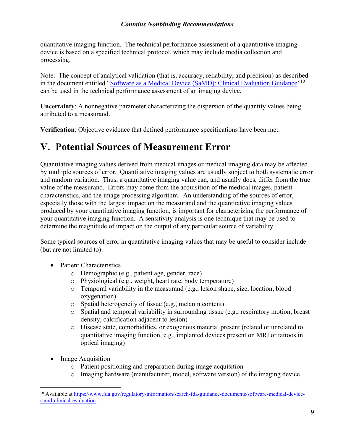quantitative imaging function. The technical performance assessment of a quantitative imaging device is based on a specified technical protocol, which may include media collection and processing.

Note: The concept of analytical validation (that is, accuracy, reliability, and precision) as described in the document entitled "[Software as a Medical Device \(SaMD\): Clinical Evaluation Guidance"](https://www.fda.gov/regulatory-information/search-fda-guidance-documents/software-medical-device-samd-clinical-evaluation)<sup>10</sup> can be used in the technical performance assessment of an imaging device.

**Uncertainty**: A nonnegative parameter characterizing the dispersion of the quantity values being attributed to a measurand.

**Verification**: Objective evidence that defined performance specifications have been met.

## **V.** Potential Sources of Measurement Error

Quantitative imaging values derived from medical images or medical imaging data may be affected by multiple sources of error. Quantitative imaging values are usually subject to both systematic error and random variation. Thus, a quantitative imaging value can, and usually does, differ from the true value of the measurand. Errors may come from the acquisition of the medical images, patient characteristics, and the image processing algorithm. An understanding of the sources of error, especially those with the largest impact on the measurand and the quantitative imaging values produced by your quantitative imaging function, is important for characterizing the performance of your quantitative imaging function. A sensitivity analysis is one technique that may be used to determine the magnitude of impact on the output of any particular source of variability.

Some typical sources of error in quantitative imaging values that may be useful to consider include (but are not limited to):

- Patient Characteristics
	- o Demographic (e.g., patient age, gender, race)
	- o Physiological (e.g., weight, heart rate, body temperature)
	- o Temporal variability in the measurand (e.g., lesion shape, size, location, blood oxygenation)
	- o Spatial heterogeneity of tissue (e.g., melanin content)
	- o Spatial and temporal variability in surrounding tissue (e.g., respiratory motion, breast density, calcification adjacent to lesion)
	- o Disease state, comorbidities, or exogenous material present (related or unrelated to quantitative imaging function, e.g., implanted devices present on MRI or tattoos in optical imaging)
- **Image Acquisition** 
	- o Patient positioning and preparation during image acquisition
	- o Imaging hardware (manufacturer, model, software version) of the imaging device

<sup>&</sup>lt;sup>10</sup> Available at [https://www.fda.gov/regulatory-information/search-fda-guidance-documents/software-medical-device](https://www.fda.gov/regulatory-information/search-fda-guidance-documents/software-medical-device-samd-clinical-evaluation)[samd-clinical-evaluation](https://www.fda.gov/regulatory-information/search-fda-guidance-documents/software-medical-device-samd-clinical-evaluation).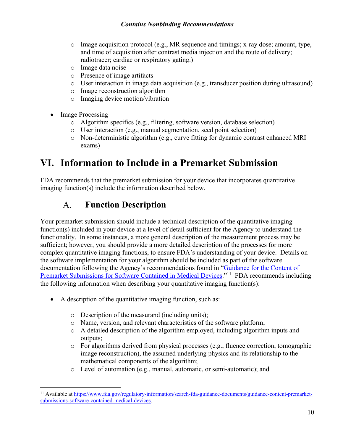- $\circ$  Image acquisition protocol (e.g., MR sequence and timings; x-ray dose; amount, type, and time of acquisition after contrast media injection and the route of delivery; radiotracer; cardiac or respiratory gating.)
- o Image data noise
- o Presence of image artifacts
- o User interaction in image data acquisition (e.g., transducer position during ultrasound)
- o Image reconstruction algorithm
- o Imaging device motion/vibration
- Image Processing
	- o Algorithm specifics (e.g., filtering, software version, database selection)
	- o User interaction (e.g., manual segmentation, seed point selection)
	- o Non-deterministic algorithm (e.g., curve fitting for dynamic contrast enhanced MRI exams)

## **VI.** Information to Include in a Premarket Submission

FDA recommends that the premarket submission for your device that incorporates quantitative imaging function(s) include the information described below.

#### **Function Description** A.

Your premarket submission should include a technical description of the quantitative imaging function(s) included in your device at a level of detail sufficient for the Agency to understand the functionality. In some instances, a more general description of the measurement process may be sufficient; however, you should provide a more detailed description of the processes for more complex quantitative imaging functions, to ensure FDA's understanding of your device. Details on the software implementation for your algorithm should be included as part of the software documentation following the Agency's recommendations found in "Guidance for the Content of Premarket Submissions for Software Contained in Medical Devices.<sup>"11</sup> FDA recommends including the following information when describing your quantitative imaging function(s):

- A description of the quantitative imaging function, such as:
	- o Description of the measurand (including units);
	- o Name, version, and relevant characteristics of the software platform;
	- o A detailed description of the algorithm employed, including algorithm inputs and outputs;
	- $\circ$  For algorithms derived from physical processes (e.g., fluence correction, tomographic image reconstruction), the assumed underlying physics and its relationship to the mathematical components of the algorithm;
	- o Level of automation (e.g., manual, automatic, or semi-automatic); and

<sup>&</sup>lt;sup>11</sup> Available at [https://www.fda.gov/regulatory-information/search-fda-guidance-documents/guidance-content-premarket](https://www.fda.gov/regulatory-information/search-fda-guidance-documents/guidance-content-premarket-submissions-software-contained-medical-devices)[submissions-software-contained-medical-devices](https://www.fda.gov/regulatory-information/search-fda-guidance-documents/guidance-content-premarket-submissions-software-contained-medical-devices).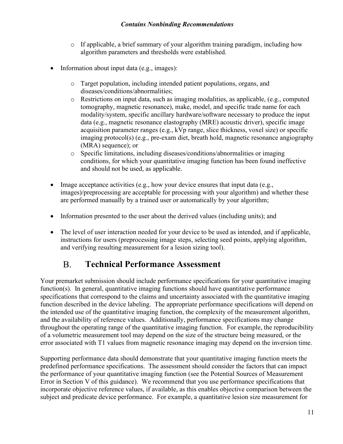- $\circ$  If applicable, a brief summary of your algorithm training paradigm, including how algorithm parameters and thresholds were established.
- Information about input data (e.g., images):
	- o Target population, including intended patient populations, organs, and diseases/conditions/abnormalities;
	- o Restrictions on input data, such as imaging modalities, as applicable, (e.g., computed tomography, magnetic resonance), make, model, and specific trade name for each modality/system, specific ancillary hardware/software necessary to produce the input data (e.g., magnetic resonance elastography (MRE) acoustic driver), specific image acquisition parameter ranges (e.g., kVp range, slice thickness, voxel size) or specific imaging protocol(s) (e.g., pre-exam diet, breath hold, magnetic resonance angiography (MRA) sequence); or
	- o Specific limitations, including diseases/conditions/abnormalities or imaging conditions, for which your quantitative imaging function has been found ineffective and should not be used, as applicable.
- Image acceptance activities (e.g., how your device ensures that input data (e.g., images)/preprocessing are acceptable for processing with your algorithm) and whether these are performed manually by a trained user or automatically by your algorithm;
- Information presented to the user about the derived values (including units); and
- The level of user interaction needed for your device to be used as intended, and if applicable, instructions for users (preprocessing image steps, selecting seed points, applying algorithm, and verifying resulting measurement for a lesion sizing tool).

#### $B<sub>1</sub>$ **Technical Performance Assessment**

Your premarket submission should include performance specifications for your quantitative imaging function(s). In general, quantitative imaging functions should have quantitative performance specifications that correspond to the claims and uncertainty associated with the quantitative imaging function described in the device labeling. The appropriate performance specifications will depend on the intended use of the quantitative imaging function, the complexity of the measurement algorithm, and the availability of reference values. Additionally, performance specifications may change throughout the operating range of the quantitative imaging function. For example, the reproducibility of a volumetric measurement tool may depend on the size of the structure being measured, or the error associated with T1 values from magnetic resonance imaging may depend on the inversion time.

Supporting performance data should demonstrate that your quantitative imaging function meets the predefined performance specifications. The assessment should consider the factors that can impact the performance of your quantitative imaging function (see the Potential Sources of Measurement Error in Section V of this guidance). We recommend that you use performance specifications that incorporate objective reference values, if available, as this enables objective comparison between the subject and predicate device performance. For example, a quantitative lesion size measurement for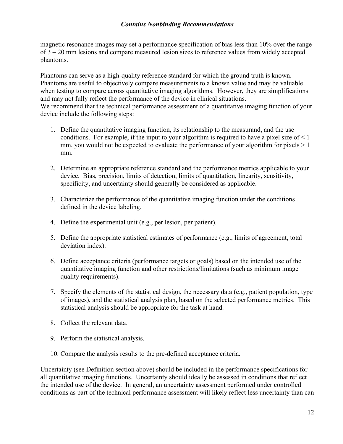magnetic resonance images may set a performance specification of bias less than 10% over the range of 3 – 20 mm lesions and compare measured lesion sizes to reference values from widely accepted phantoms.

Phantoms can serve as a high-quality reference standard for which the ground truth is known. Phantoms are useful to objectively compare measurements to a known value and may be valuable when testing to compare across quantitative imaging algorithms. However, they are simplifications and may not fully reflect the performance of the device in clinical situations. We recommend that the technical performance assessment of a quantitative imaging function of your device include the following steps:

- 1. Define the quantitative imaging function, its relationship to the measurand, and the use conditions. For example, if the input to your algorithm is required to have a pixel size of  $\leq 1$ mm, you would not be expected to evaluate the performance of your algorithm for pixels  $> 1$ mm.
- 2. Determine an appropriate reference standard and the performance metrics applicable to your device. Bias, precision, limits of detection, limits of quantitation, linearity, sensitivity, specificity, and uncertainty should generally be considered as applicable.
- 3. Characterize the performance of the quantitative imaging function under the conditions defined in the device labeling.
- 4. Define the experimental unit (e.g., per lesion, per patient).
- 5. Define the appropriate statistical estimates of performance (e.g., limits of agreement, total deviation index).
- 6. Define acceptance criteria (performance targets or goals) based on the intended use of the quantitative imaging function and other restrictions/limitations (such as minimum image quality requirements).
- 7. Specify the elements of the statistical design, the necessary data (e.g., patient population, type of images), and the statistical analysis plan, based on the selected performance metrics. This statistical analysis should be appropriate for the task at hand.
- 8. Collect the relevant data.
- 9. Perform the statistical analysis.
- 10. Compare the analysis results to the pre-defined acceptance criteria.

Uncertainty (see Definition section above) should be included in the performance specifications for all quantitative imaging functions. Uncertainty should ideally be assessed in conditions that reflect the intended use of the device. In general, an uncertainty assessment performed under controlled conditions as part of the technical performance assessment will likely reflect less uncertainty than can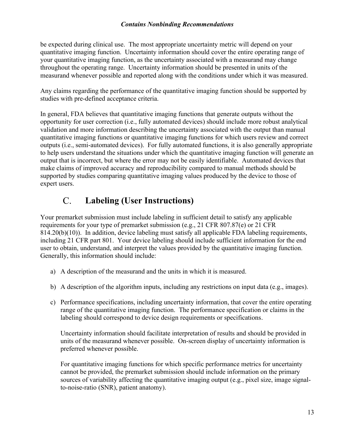be expected during clinical use. The most appropriate uncertainty metric will depend on your quantitative imaging function. Uncertainty information should cover the entire operating range of your quantitative imaging function, as the uncertainty associated with a measurand may change throughout the operating range. Uncertainty information should be presented in units of the measurand whenever possible and reported along with the conditions under which it was measured.

Any claims regarding the performance of the quantitative imaging function should be supported by studies with pre-defined acceptance criteria.

In general, FDA believes that quantitative imaging functions that generate outputs without the opportunity for user correction (i.e., fully automated devices) should include more robust analytical validation and more information describing the uncertainty associated with the output than manual quantitative imaging functions or quantitative imaging functions for which users review and correct outputs (i.e., semi-automated devices). For fully automated functions, it is also generally appropriate to help users understand the situations under which the quantitative imaging function will generate an output that is incorrect, but where the error may not be easily identifiable. Automated devices that make claims of improved accuracy and reproducibility compared to manual methods should be supported by studies comparing quantitative imaging values produced by the device to those of expert users.

#### $C_{\cdot}$ **Labeling (User Instructions)**

Your premarket submission must include labeling in sufficient detail to satisfy any applicable requirements for your type of premarket submission (e.g., 21 CFR 807.87(e) or 21 CFR 814.20(b)(10)). In addition, device labeling must satisfy all applicable FDA labeling requirements, including 21 CFR part 801. Your device labeling should include sufficient information for the end user to obtain, understand, and interpret the values provided by the quantitative imaging function. Generally, this information should include:

- a) A description of the measurand and the units in which it is measured.
- b) A description of the algorithm inputs, including any restrictions on input data (e.g., images).
- c) Performance specifications, including uncertainty information, that cover the entire operating range of the quantitative imaging function. The performance specification or claims in the labeling should correspond to device design requirements or specifications.

Uncertainty information should facilitate interpretation of results and should be provided in units of the measurand whenever possible. On-screen display of uncertainty information is preferred whenever possible.

For quantitative imaging functions for which specific performance metrics for uncertainty cannot be provided, the premarket submission should include information on the primary sources of variability affecting the quantitative imaging output (e.g., pixel size, image signalto-noise-ratio (SNR), patient anatomy).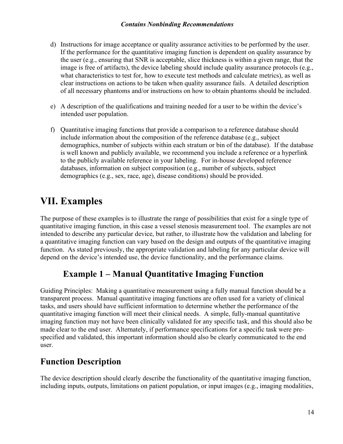- d) Instructions for image acceptance or quality assurance activities to be performed by the user. If the performance for the quantitative imaging function is dependent on quality assurance by the user (e.g., ensuring that SNR is acceptable, slice thickness is within a given range, that the image is free of artifacts), the device labeling should include quality assurance protocols (e.g., what characteristics to test for, how to execute test methods and calculate metrics), as well as clear instructions on actions to be taken when quality assurance fails. A detailed description of all necessary phantoms and/or instructions on how to obtain phantoms should be included.
- e) A description of the qualifications and training needed for a user to be within the device's intended user population.
- f) Quantitative imaging functions that provide a comparison to a reference database should include information about the composition of the reference database (e.g., subject demographics, number of subjects within each stratum or bin of the database). If the database is well known and publicly available, we recommend you include a reference or a hyperlink to the publicly available reference in your labeling. For in-house developed reference databases, information on subject composition (e.g., number of subjects, subject demographics (e.g., sex, race, age), disease conditions) should be provided.

## **VII.** Examples

The purpose of these examples is to illustrate the range of possibilities that exist for a single type of quantitative imaging function, in this case a vessel stenosis measurement tool. The examples are not intended to describe any particular device, but rather, to illustrate how the validation and labeling for a quantitative imaging function can vary based on the design and outputs of the quantitative imaging function. As stated previously, the appropriate validation and labeling for any particular device will depend on the device's intended use, the device functionality, and the performance claims.

## **Example 1 – Manual Quantitative Imaging Function**

Guiding Principles: Making a quantitative measurement using a fully manual function should be a transparent process. Manual quantitative imaging functions are often used for a variety of clinical tasks, and users should have sufficient information to determine whether the performance of the quantitative imaging function will meet their clinical needs. A simple, fully-manual quantitative imaging function may not have been clinically validated for any specific task, and this should also be made clear to the end user. Alternately, if performance specifications for a specific task were prespecified and validated, this important information should also be clearly communicated to the end user.

## **Function Description**

The device description should clearly describe the functionality of the quantitative imaging function, including inputs, outputs, limitations on patient population, or input images (e.g., imaging modalities,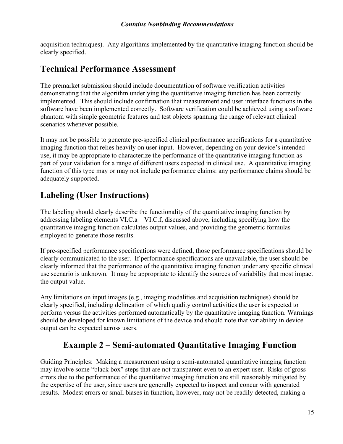acquisition techniques). Any algorithms implemented by the quantitative imaging function should be clearly specified.

### **Technical Performance Assessment**

The premarket submission should include documentation of software verification activities demonstrating that the algorithm underlying the quantitative imaging function has been correctly implemented. This should include confirmation that measurement and user interface functions in the software have been implemented correctly. Software verification could be achieved using a software phantom with simple geometric features and test objects spanning the range of relevant clinical scenarios whenever possible.

It may not be possible to generate pre-specified clinical performance specifications for a quantitative imaging function that relies heavily on user input. However, depending on your device's intended use, it may be appropriate to characterize the performance of the quantitative imaging function as part of your validation for a range of different users expected in clinical use. A quantitative imaging function of this type may or may not include performance claims: any performance claims should be adequately supported.

## **Labeling (User Instructions)**

The labeling should clearly describe the functionality of the quantitative imaging function by addressing labeling elements VI.C.a – VI.C.f, discussed above, including specifying how the quantitative imaging function calculates output values, and providing the geometric formulas employed to generate those results.

If pre-specified performance specifications were defined, those performance specifications should be clearly communicated to the user. If performance specifications are unavailable, the user should be clearly informed that the performance of the quantitative imaging function under any specific clinical use scenario is unknown. It may be appropriate to identify the sources of variability that most impact the output value.

Any limitations on input images (e.g., imaging modalities and acquisition techniques) should be clearly specified, including delineation of which quality control activities the user is expected to perform versus the activities performed automatically by the quantitative imaging function. Warnings should be developed for known limitations of the device and should note that variability in device output can be expected across users.

## **Example 2 – Semi-automated Quantitative Imaging Function**

Guiding Principles: Making a measurement using a semi-automated quantitative imaging function may involve some "black box" steps that are not transparent even to an expert user. Risks of gross errors due to the performance of the quantitative imaging function are still reasonably mitigated by the expertise of the user, since users are generally expected to inspect and concur with generated results. Modest errors or small biases in function, however, may not be readily detected, making a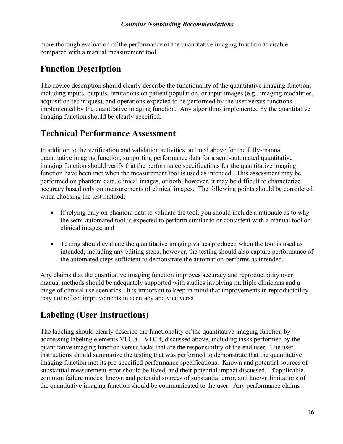more thorough evaluation of the performance of the quantitative imaging function advisable compared with a manual measurement tool.

## **Function Description**

The device description should clearly describe the functionality of the quantitative imaging function, including inputs, outputs, limitations on patient population, or input images (e.g., imaging modalities, acquisition techniques), and operations expected to be performed by the user versus functions implemented by the quantitative imaging function. Any algorithms implemented by the quantitative imaging function should be clearly specified.

### **Technical Performance Assessment**

In addition to the verification and validation activities outlined above for the fully-manual quantitative imaging function, supporting performance data for a semi-automated quantitative imaging function should verify that the performance specifications for the quantitative imaging function have been met when the measurement tool is used as intended. This assessment may be performed on phantom data, clinical images, or both; however, it may be difficult to characterize accuracy based only on measurements of clinical images. The following points should be considered when choosing the test method:

- If relying only on phantom data to validate the tool, you should include a rationale as to why the semi-automated tool is expected to perform similar to or consistent with a manual tool on clinical images; and
- Testing should evaluate the quantitative imaging values produced when the tool is used as intended, including any editing steps; however, the testing should also capture performance of the automated steps sufficient to demonstrate the automation performs as intended.

Any claims that the quantitative imaging function improves accuracy and reproducibility over manual methods should be adequately supported with studies involving multiple clinicians and a range of clinical use scenarios. It is important to keep in mind that improvements in reproducibility may not reflect improvements in accuracy and vice versa.

## **Labeling (User Instructions)**

The labeling should clearly describe the functionality of the quantitative imaging function by addressing labeling elements VI.C.a – VI.C.f, discussed above, including tasks performed by the quantitative imaging function versus tasks that are the responsibility of the end user. The user instructions should summarize the testing that was performed to demonstrate that the quantitative imaging function met its pre-specified performance specifications. Known and potential sources of substantial measurement error should be listed, and their potential impact discussed. If applicable, common failure modes, known and potential sources of substantial error, and known limitations of the quantitative imaging function should be communicated to the user. Any performance claims